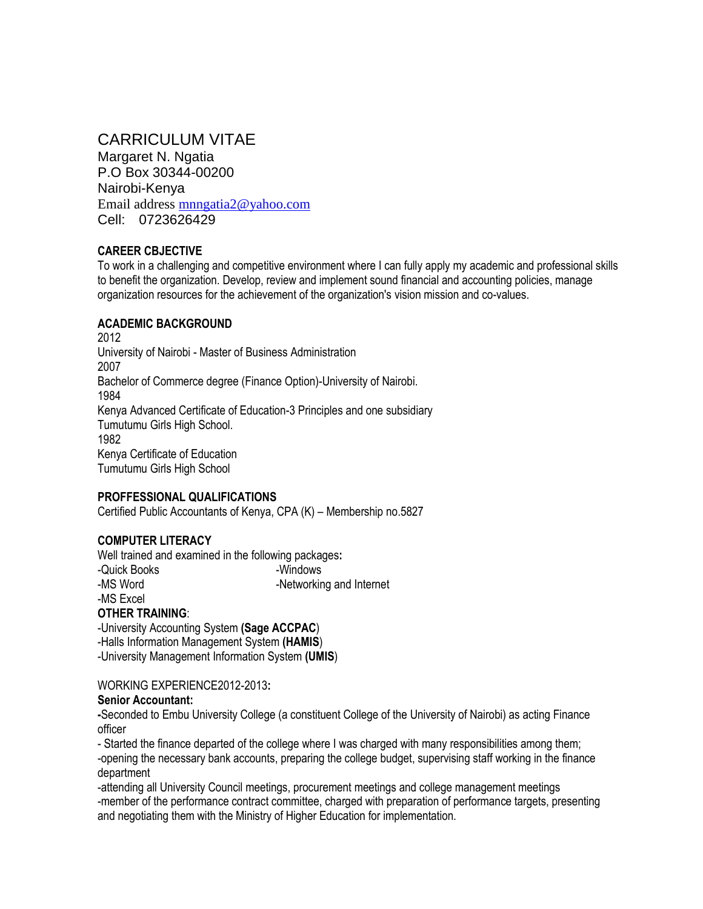# CARRICULUM VITAE

Margaret N. Ngatia P.O Box 30344-00200 Nairobi-Kenya Email address [mnngatia2@yahoo.com](mailto:mngatia2@yahoo.com) Cell: 0723626429

### **CAREER CBJECTIVE**

To work in a challenging and competitive environment where I can fully apply my academic and professional skills to benefit the organization. Develop, review and implement sound financial and accounting policies, manage organization resources for the achievement of the organization's vision mission and co-values.

## **ACADEMIC BACKGROUND**

2012 University of Nairobi - Master of Business Administration 2007 Bachelor of Commerce degree (Finance Option)-University of Nairobi. 1984 Kenya Advanced Certificate of Education-3 Principles and one subsidiary Tumutumu Girls High School. 1982 Kenya Certificate of Education Tumutumu Girls High School

### **PROFFESSIONAL QUALIFICATIONS**

Certified Public Accountants of Kenya, CPA (K) – Membership no.5827

### **COMPUTER LITERACY**

Well trained and examined in the following packages**:** -Quick Books -Windows -MS Word **-Networking and Internet** -MS Excel

## **OTHER TRAINING**:

-University Accounting System **(Sage ACCPAC**) -Halls Information Management System **(HAMIS**) -University Management Information System **(UMIS**)

WORKING EXPERIENCE2012-2013**:** 

#### **Senior Accountant:**

**-**Seconded to Embu University College (a constituent College of the University of Nairobi) as acting Finance officer

- Started the finance departed of the college where I was charged with many responsibilities among them; -opening the necessary bank accounts, preparing the college budget, supervising staff working in the finance department

-attending all University Council meetings, procurement meetings and college management meetings -member of the performance contract committee, charged with preparation of performance targets, presenting and negotiating them with the Ministry of Higher Education for implementation.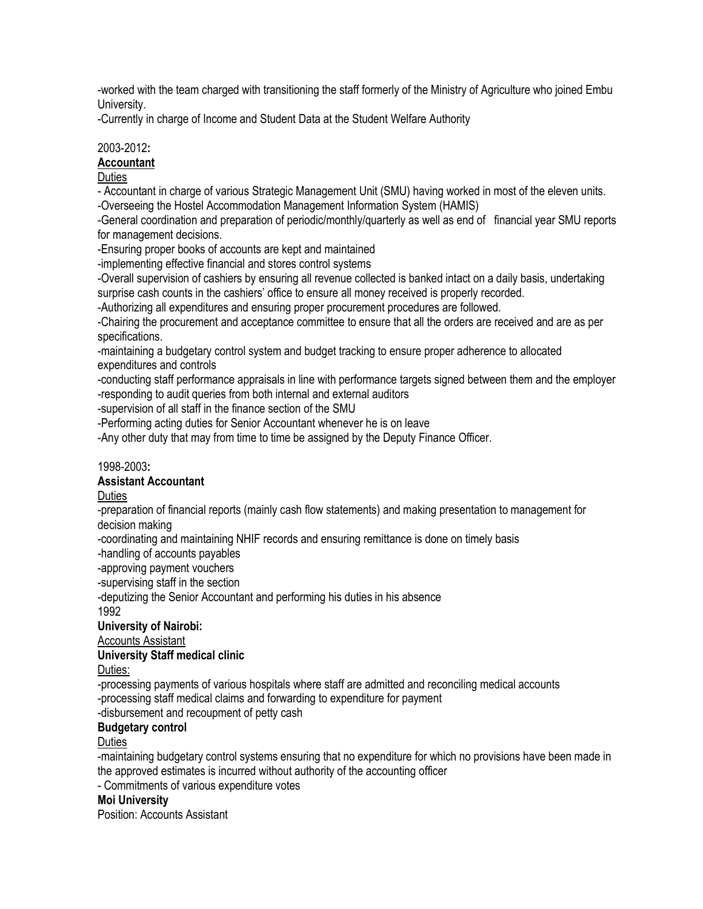-worked with the team charged with transitioning the staff formerly of the Ministry of Agriculture who joined Embu University.

-Currently in charge of Income and Student Data at the Student Welfare Authority

## 2003-2012**:**

### **Accountant**

## **Duties**

- Accountant in charge of various Strategic Management Unit (SMU) having worked in most of the eleven units.

-Overseeing the Hostel Accommodation Management Information System (HAMIS)

-General coordination and preparation of periodic/monthly/quarterly as well as end of financial year SMU reports for management decisions.

-Ensuring proper books of accounts are kept and maintained

-implementing effective financial and stores control systems

-Overall supervision of cashiers by ensuring all revenue collected is banked intact on a daily basis, undertaking surprise cash counts in the cashiers' office to ensure all money received is properly recorded.

-Authorizing all expenditures and ensuring proper procurement procedures are followed.

-Chairing the procurement and acceptance committee to ensure that all the orders are received and are as per specifications.

-maintaining a budgetary control system and budget tracking to ensure proper adherence to allocated expenditures and controls

-conducting staff performance appraisals in line with performance targets signed between them and the employer -responding to audit queries from both internal and external auditors

-supervision of all staff in the finance section of the SMU

-Performing acting duties for Senior Accountant whenever he is on leave

-Any other duty that may from time to time be assigned by the Deputy Finance Officer.

### 1998-2003**:**

### **Assistant Accountant**

**Duties** 

-preparation of financial reports (mainly cash flow statements) and making presentation to management for decision making

-coordinating and maintaining NHIF records and ensuring remittance is done on timely basis

-handling of accounts payables

-approving payment vouchers

-supervising staff in the section

-deputizing the Senior Accountant and performing his duties in his absence

1992

## **University of Nairobi:**

Accounts Assistant

### **University Staff medical clinic**

Duties:

-processing payments of various hospitals where staff are admitted and reconciling medical accounts -processing staff medical claims and forwarding to expenditure for payment -disbursement and recoupment of petty cash

# **Budgetary control**

## **Duties**

-maintaining budgetary control systems ensuring that no expenditure for which no provisions have been made in the approved estimates is incurred without authority of the accounting officer

- Commitments of various expenditure votes

### **Moi University**

Position: Accounts Assistant